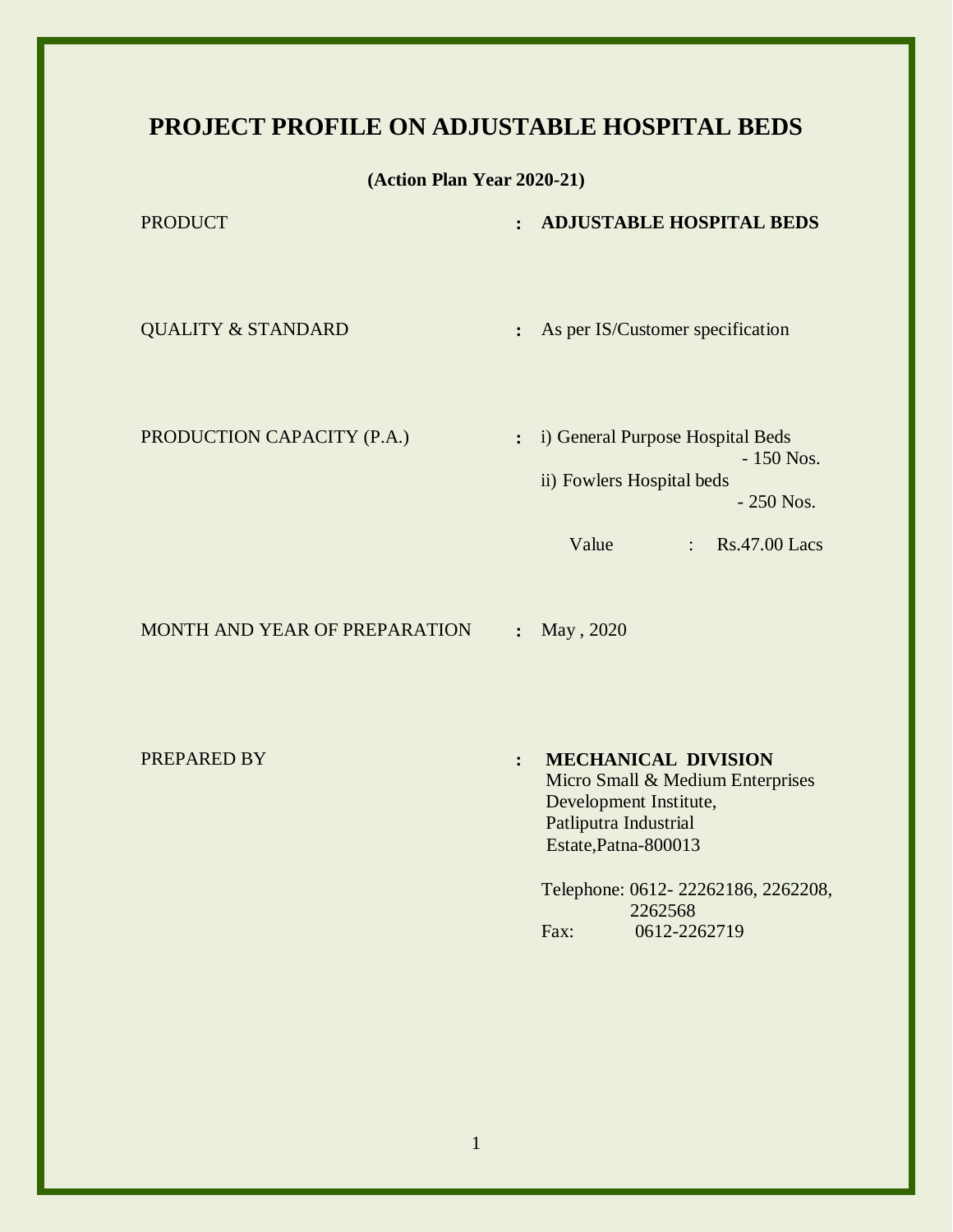## **PROJECT PROFILE ON ADJUSTABLE HOSPITAL BEDS**

**(Action Plan Year 2020-21)**

| <b>PRODUCT</b>                       | <b>ADJUSTABLE HOSPITAL BEDS</b><br>$\ddot{\cdot}$                                                                                                               |
|--------------------------------------|-----------------------------------------------------------------------------------------------------------------------------------------------------------------|
| <b>QUALITY &amp; STANDARD</b>        | As per IS/Customer specification<br>:                                                                                                                           |
| PRODUCTION CAPACITY (P.A.)           | i) General Purpose Hospital Beds<br>$\ddot{\cdot}$<br>$-150$ Nos.<br>ii) Fowlers Hospital beds<br>$-250$ Nos.<br>Value<br><b>Rs.47.00 Lacs</b><br>$\mathcal{L}$ |
| <b>MONTH AND YEAR OF PREPARATION</b> | May, 2020<br>$\ddot{\cdot}$                                                                                                                                     |

PREPARED BY **: MECHANICAL DIVISION** Micro Small & Medium Enterprises Development Institute, Patliputra Industrial Estate,Patna-800013

> Telephone: 0612- 22262186, 2262208, 2262568 Fax: 0612-2262719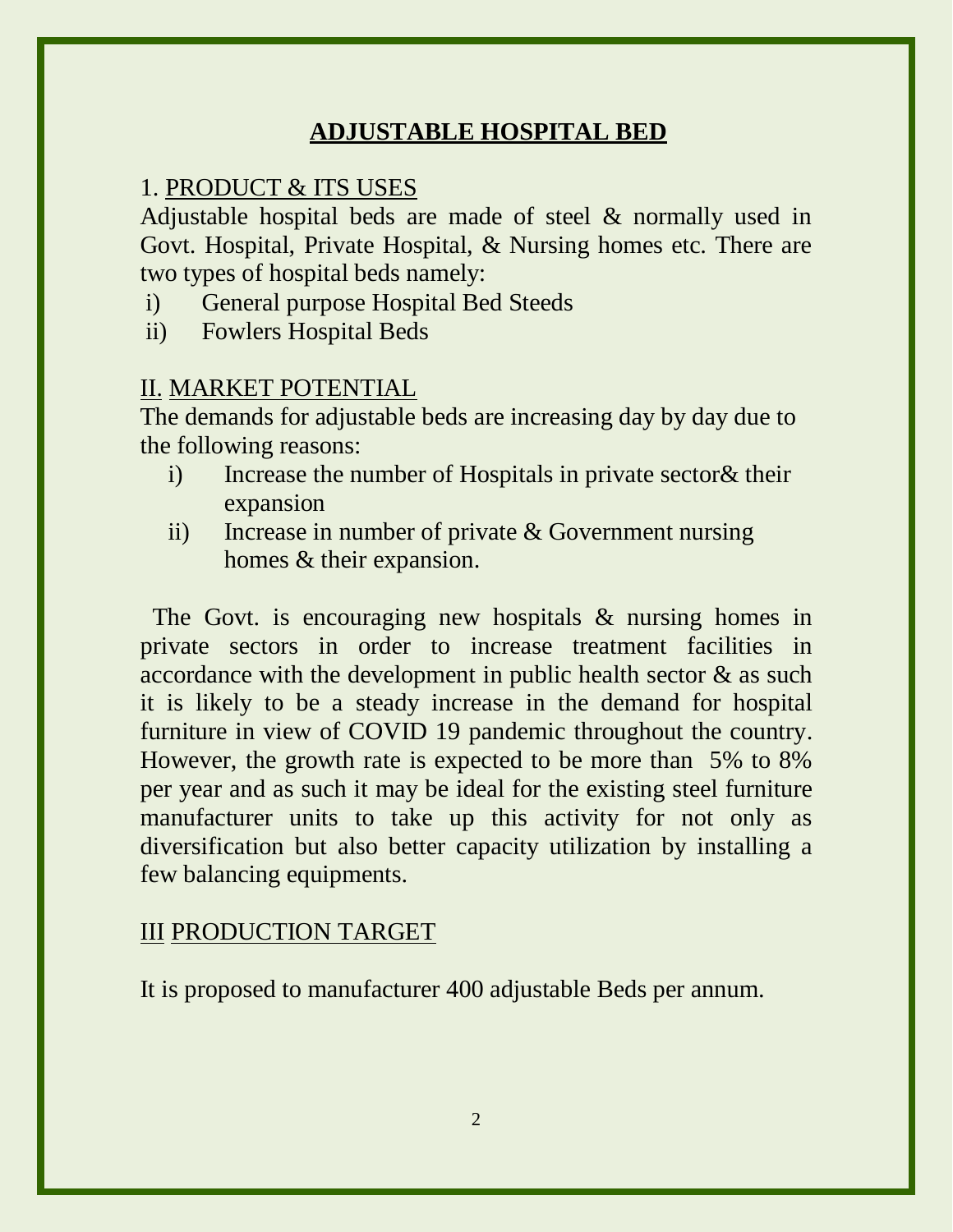## **ADJUSTABLE HOSPITAL BED**

#### 1. PRODUCT & ITS USES

Adjustable hospital beds are made of steel & normally used in Govt. Hospital, Private Hospital, & Nursing homes etc. There are two types of hospital beds namely:

- i) General purpose Hospital Bed Steeds
- ii) Fowlers Hospital Beds

#### II. MARKET POTENTIAL

The demands for adjustable beds are increasing day by day due to the following reasons:

- i) Increase the number of Hospitals in private sector& their expansion
- ii) Increase in number of private & Government nursing homes & their expansion.

The Govt. is encouraging new hospitals & nursing homes in private sectors in order to increase treatment facilities in accordance with the development in public health sector & as such it is likely to be a steady increase in the demand for hospital furniture in view of COVID 19 pandemic throughout the country. However, the growth rate is expected to be more than 5% to 8% per year and as such it may be ideal for the existing steel furniture manufacturer units to take up this activity for not only as diversification but also better capacity utilization by installing a few balancing equipments.

### III PRODUCTION TARGET

It is proposed to manufacturer 400 adjustable Beds per annum.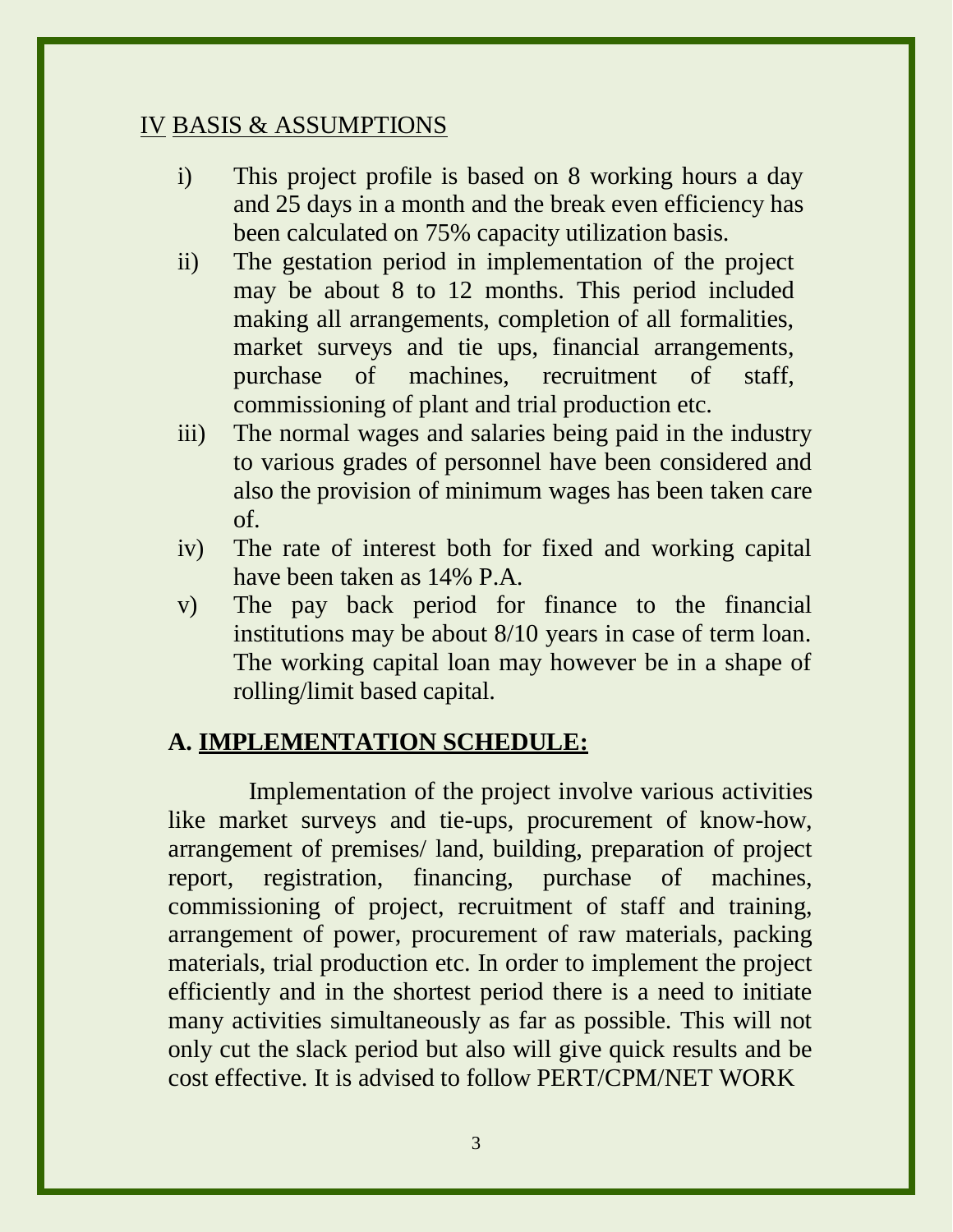### IV BASIS & ASSUMPTIONS

- i) This project profile is based on 8 working hours a day and 25 days in a month and the break even efficiency has been calculated on 75% capacity utilization basis.
- ii) The gestation period in implementation of the project may be about 8 to 12 months. This period included making all arrangements, completion of all formalities, market surveys and tie ups, financial arrangements, purchase of machines, recruitment of staff, commissioning of plant and trial production etc.
- iii) The normal wages and salaries being paid in the industry to various grades of personnel have been considered and also the provision of minimum wages has been taken care of.
- iv) The rate of interest both for fixed and working capital have been taken as 14% P.A.
- v) The pay back period for finance to the financial institutions may be about 8/10 years in case of term loan. The working capital loan may however be in a shape of rolling/limit based capital.

## **A. IMPLEMENTATION SCHEDULE:**

Implementation of the project involve various activities like market surveys and tie-ups, procurement of know-how, arrangement of premises/ land, building, preparation of project report, registration, financing, purchase of machines, commissioning of project, recruitment of staff and training, arrangement of power, procurement of raw materials, packing materials, trial production etc. In order to implement the project efficiently and in the shortest period there is a need to initiate many activities simultaneously as far as possible. This will not only cut the slack period but also will give quick results and be cost effective. It is advised to follow PERT/CPM/NET WORK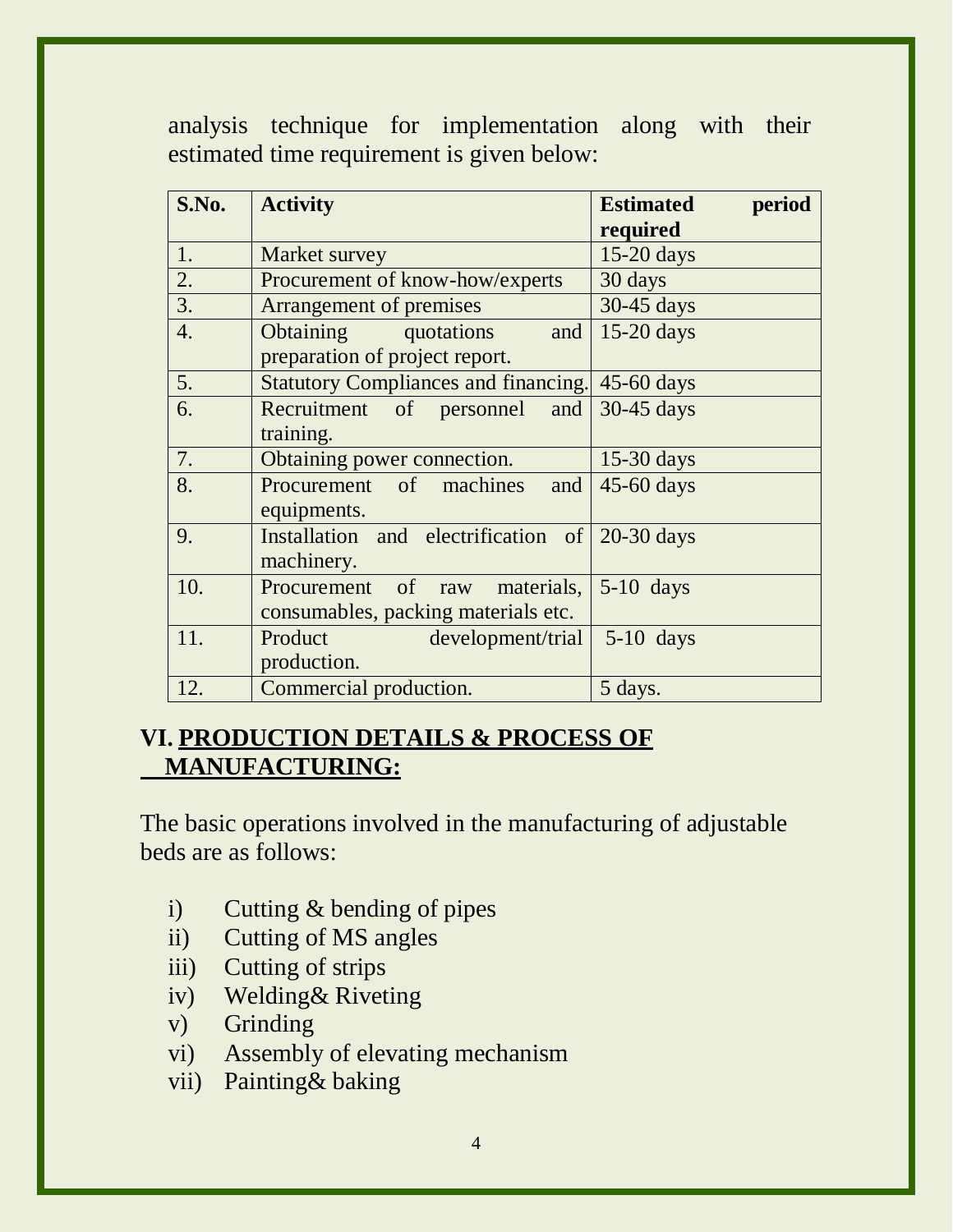analysis technique for implementation along with their estimated time requirement is given below:

| S.No. | <b>Activity</b>                                                      | <b>Estimated</b><br>period<br>required |
|-------|----------------------------------------------------------------------|----------------------------------------|
| 1.    | Market survey                                                        | $15-20$ days                           |
| 2.    | Procurement of know-how/experts                                      | 30 days                                |
| 3.    | Arrangement of premises                                              | 30-45 days                             |
| 4.    | Obtaining quotations<br>and<br>preparation of project report.        | $15-20$ days                           |
| 5.    | Statutory Compliances and financing. 45-60 days                      |                                        |
| 6.    | Recruitment of personnel and<br>training.                            | 30-45 days                             |
| 7.    | Obtaining power connection.                                          | $15-30$ days                           |
| 8.    | Procurement of machines<br>and<br>equipments.                        | 45-60 days                             |
| 9.    | Installation and electrification of 20-30 days<br>machinery.         |                                        |
| 10.   | Procurement of raw materials,<br>consumables, packing materials etc. | $5-10$ days                            |
| 11.   | Product<br>development/trial<br>production.                          | $5-10$ days                            |
| 12.   | Commercial production.                                               | 5 days.                                |

## **VI. PRODUCTION DETAILS & PROCESS OF MANUFACTURING:**

The basic operations involved in the manufacturing of adjustable beds are as follows:

- i) Cutting & bending of pipes
- ii) Cutting of MS angles
- iii) Cutting of strips
- iv) Welding& Riveting
- v) Grinding
- vi) Assembly of elevating mechanism
- vii) Painting& baking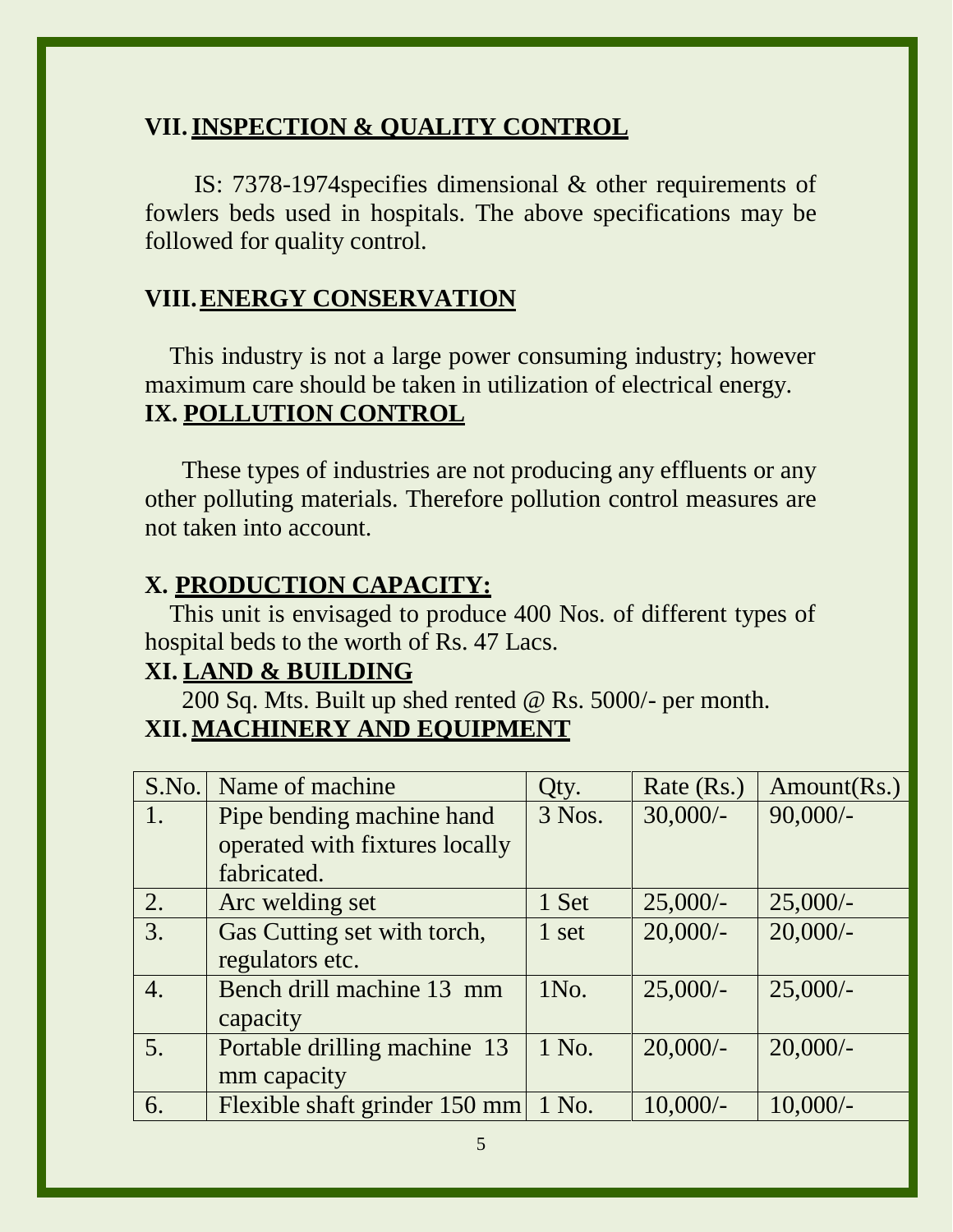## **VII.INSPECTION & QUALITY CONTROL**

IS: 7378-1974specifies dimensional & other requirements of fowlers beds used in hospitals. The above specifications may be followed for quality control.

### **VIII.ENERGY CONSERVATION**

This industry is not a large power consuming industry; however maximum care should be taken in utilization of electrical energy. **IX. POLLUTION CONTROL**

These types of industries are not producing any effluents or any other polluting materials. Therefore pollution control measures are not taken into account.

#### **X. PRODUCTION CAPACITY:**

This unit is envisaged to produce 400 Nos. of different types of hospital beds to the worth of Rs. 47 Lacs.

## **XI. LAND & BUILDING**

200 Sq. Mts. Built up shed rented @ Rs. 5000/- per month. **XII. MACHINERY AND EQUIPMENT**

| S.No.            | Name of machine                | Qty.   | Rate (Rs.) | Amount(Rs.) |
|------------------|--------------------------------|--------|------------|-------------|
| $\sqrt{1}$ .     | Pipe bending machine hand      | 3 Nos. | $30,000/-$ | $90,000/-$  |
|                  | operated with fixtures locally |        |            |             |
|                  | fabricated.                    |        |            |             |
| 2.               | Arc welding set                | 1 Set  | $25,000/-$ | $25,000/-$  |
| 3.               | Gas Cutting set with torch,    | 1 set  | $20,000/-$ | $20,000/-$  |
|                  | regulators etc.                |        |            |             |
| $\overline{4}$ . | Bench drill machine 13 mm      | 1No.   | $25,000/-$ | $25,000/-$  |
|                  | capacity                       |        |            |             |
| 5.               | Portable drilling machine 13   | 1 No.  | $20,000/-$ | $20,000/-$  |
|                  | mm capacity                    |        |            |             |
| 6.               | Flexible shaft grinder 150 mm  | 1 No.  | $10,000/-$ | $10,000/-$  |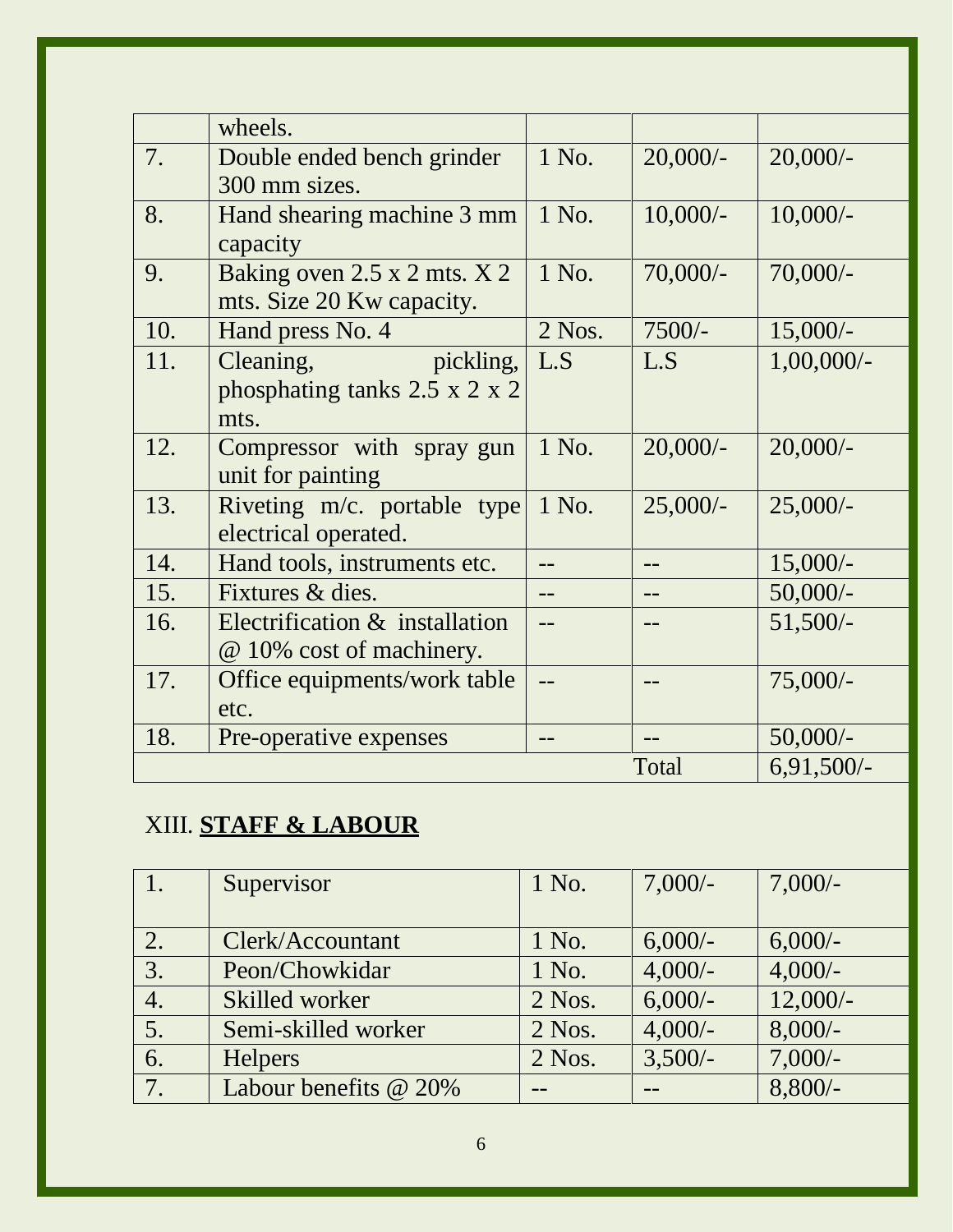|     | wheels.                                   |          |            |               |
|-----|-------------------------------------------|----------|------------|---------------|
| 7.  | Double ended bench grinder                | 1 No.    | $20,000/-$ | $20,000/-$    |
|     | 300 mm sizes.                             |          |            |               |
| 8.  | Hand shearing machine 3 mm                | 1 No.    | $10,000/-$ | $10,000/-$    |
|     | capacity                                  |          |            |               |
| 9.  | Baking oven 2.5 x 2 mts. X 2              | 1 No.    | $70,000/-$ | $70,000/-$    |
|     | mts. Size 20 Kw capacity.                 |          |            |               |
| 10. | Hand press No. 4                          | $2$ Nos. | $7500/-$   | $15,000/-$    |
| 11. | Cleaning,<br>pickling,                    | L.S      | L.S        | $1,00,000/$ - |
|     | phosphating tanks $2.5 \times 2 \times 2$ |          |            |               |
|     | mts.                                      |          |            |               |
| 12. | Compressor with spray gun                 | 1 No.    | $20,000/-$ | $20,000/-$    |
|     | unit for painting                         |          |            |               |
| 13. | Riveting $m/c$ . portable type            | 1 No.    | $25,000/-$ | $25,000/-$    |
|     | electrical operated.                      |          |            |               |
| 14. | Hand tools, instruments etc.              |          |            | $15,000/-$    |
| 15. | Fixtures & dies.                          |          |            | $50,000/-$    |
| 16. | Electrification & installation            |          |            | $51,500/-$    |
|     | @ 10% cost of machinery.                  |          |            |               |
| 17. | Office equipments/work table              | $-$      |            | $75,000/-$    |
|     | etc.                                      |          |            |               |
| 18. | Pre-operative expenses                    |          |            | $50,000/-$    |
|     |                                           |          | Total      | $6,91,500/-$  |

# XIII. **STAFF & LABOUR**

|    | Supervisor            | 1 No.    | $7,000/-$ | $7,000/-$  |
|----|-----------------------|----------|-----------|------------|
|    |                       |          |           |            |
| 2. | Clerk/Accountant      | 1 No.    | $6,000/-$ | $6,000/-$  |
| 3. | Peon/Chowkidar        | 1 No.    | $4,000/-$ | $4,000/-$  |
| 4. | Skilled worker        | $2$ Nos. | $6,000/-$ | $12,000/-$ |
| 5. | Semi-skilled worker   | $2$ Nos. | $4,000/-$ | $8,000/-$  |
| 6. | <b>Helpers</b>        | $2$ Nos. | $3,500/-$ | $7,000/-$  |
| 7. | Labour benefits @ 20% |          |           | $8,800/-$  |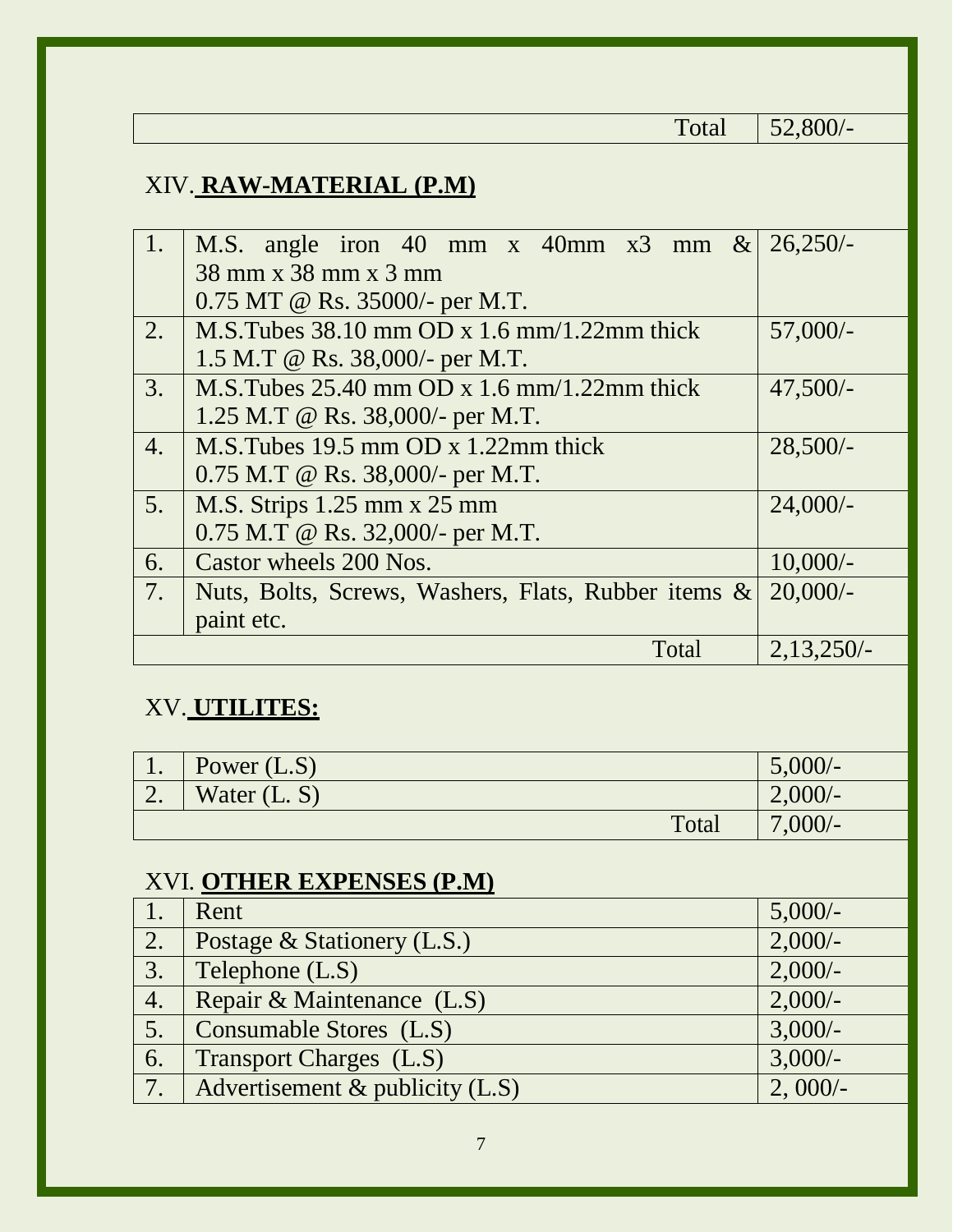| Total                                                                                                         | $52,800/-$   |  |  |
|---------------------------------------------------------------------------------------------------------------|--------------|--|--|
| XIV. RAW-MATERIAL (P.M)                                                                                       |              |  |  |
| 1.<br>M.S. angle iron 40 mm x 40mm x3<br>$\&$<br>mm<br>38 mm x 38 mm x 3 mm<br>0.75 MT @ Rs. 35000/- per M.T. | $26,250/-$   |  |  |
| M.S. Tubes $38.10$ mm OD x 1.6 mm/1.22mm thick<br>2.<br>1.5 M.T @ Rs. $38,000/$ - per M.T.                    | $57,000/-$   |  |  |
| 3.<br>M.S.Tubes $25.40$ mm OD x 1.6 mm/1.22mm thick<br>1.25 M.T @ Rs. $38,000/$ - per M.T.                    | $47,500/-$   |  |  |
| $\overline{4}$ .<br>M.S.Tubes $19.5$ mm OD x $1.22$ mm thick<br>$0.75$ M.T @ Rs. 38,000/- per M.T.            | $28,500/-$   |  |  |
| 5.<br>M.S. Strips 1.25 mm x 25 mm<br>0.75 M.T @ Rs. 32,000/- per M.T.                                         | $24,000/-$   |  |  |
| Castor wheels 200 Nos.<br>6.                                                                                  | $10,000/-$   |  |  |
| 7.<br>Nuts, Bolts, Screws, Washers, Flats, Rubber items &<br>paint etc.                                       | 20,000/      |  |  |
| Total                                                                                                         | $2,13,250/-$ |  |  |
| XV. UTILITES:                                                                                                 |              |  |  |
| Power $(L.S)$<br>1.                                                                                           | 5,000/       |  |  |
| 2.<br>Water (L. S)                                                                                            | 2,000/       |  |  |
| Total                                                                                                         | $7,000/-$    |  |  |
| XVI. OTHER EXPENSES (P.M)                                                                                     |              |  |  |
| 1.<br>Rent                                                                                                    | $5,000/-$    |  |  |
| 2.<br>Postage & Stationery (L.S.)                                                                             | $2,000/-$    |  |  |
| 3.<br>Telephone (L.S)                                                                                         | $2,000/-$    |  |  |
| Repair & Maintenance (L.S)<br>4.                                                                              | $2,000/-$    |  |  |
| Consumable Stores (L.S)<br>5.                                                                                 | $3,000/-$    |  |  |
| 6.<br>Transport Charges (L.S)                                                                                 | $3,000/-$    |  |  |
| Advertisement & publicity (L.S)<br>7.                                                                         | 2,000/       |  |  |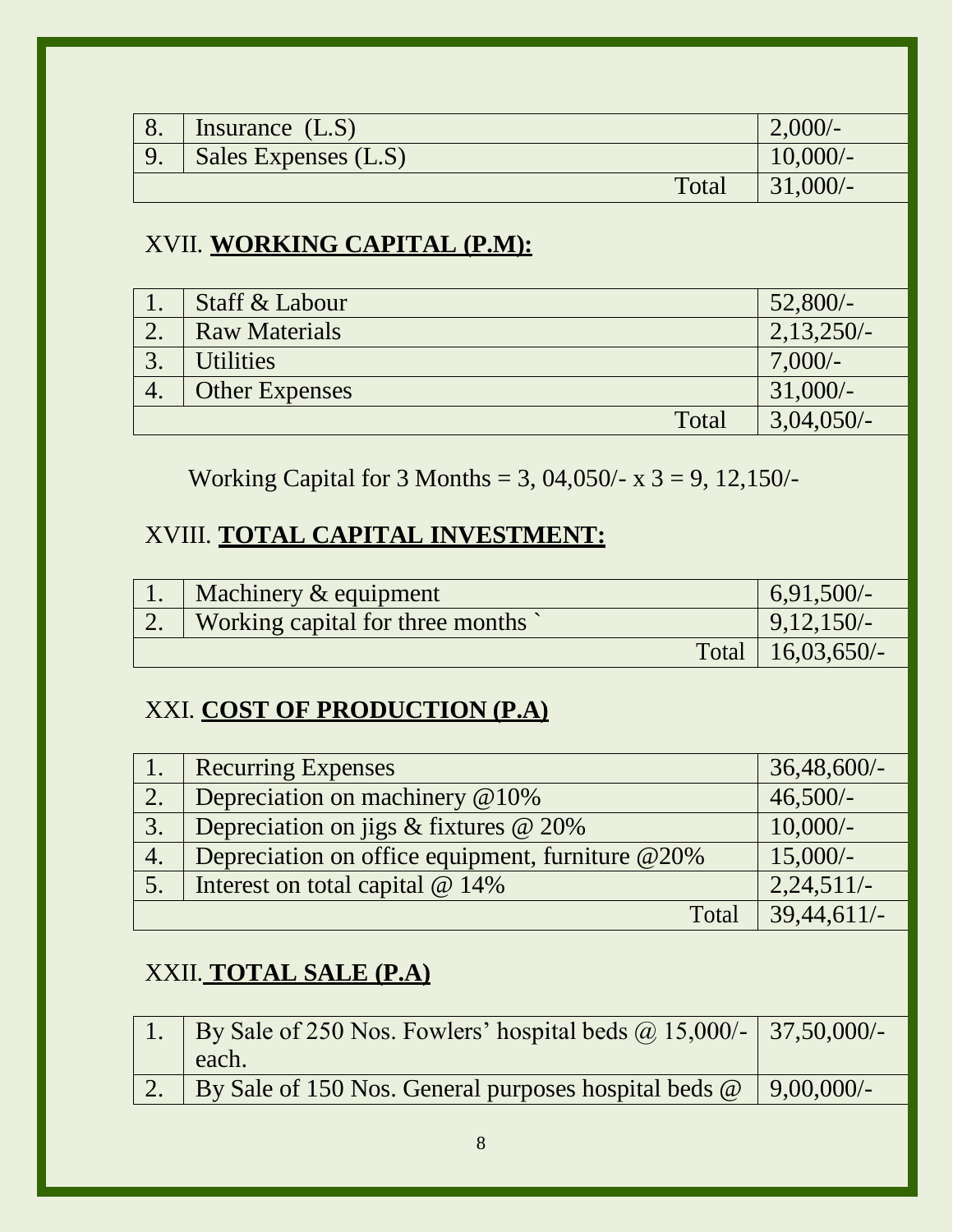| 8.                                          | Insurance $(L.S)$                                                                                   | $2,000/-$      |  |  |
|---------------------------------------------|-----------------------------------------------------------------------------------------------------|----------------|--|--|
| 9.                                          | Sales Expenses (L.S)                                                                                | $10,000/$ -    |  |  |
|                                             | Total                                                                                               | $31,000/-$     |  |  |
|                                             |                                                                                                     |                |  |  |
|                                             | XVII. WORKING CAPITAL (P.M):                                                                        |                |  |  |
| 1.                                          | Staff & Labour                                                                                      | $52,800/-$     |  |  |
| 2.                                          | <b>Raw Materials</b>                                                                                | $2,13,250/-$   |  |  |
| 3.                                          | <b>Utilities</b>                                                                                    | $7,000/-$      |  |  |
| 4.                                          | <b>Other Expenses</b>                                                                               | $31,000/-$     |  |  |
|                                             | Total                                                                                               | $3,04,050/-$   |  |  |
|                                             | Working Capital for 3 Months = 3, 04,050/- x $3 = 9$ , 12,150/-<br>XVIII. TOTAL CAPITAL INVESTMENT: |                |  |  |
| 1.<br>Machinery & equipment<br>$6,91,500/-$ |                                                                                                     |                |  |  |
| 2.                                          | Working capital for three months                                                                    | $9,12,150/-$   |  |  |
|                                             | Total                                                                                               | $16,03,650/-$  |  |  |
| XXI. COST OF PRODUCTION (P.A)               |                                                                                                     |                |  |  |
| 1.                                          | <b>Recurring Expenses</b>                                                                           | $36,48,600/$ - |  |  |
| 2.                                          | Depreciation on machinery @10%                                                                      | $46,500/-$     |  |  |
| 3.                                          | Depreciation on jigs $&$ fixtures $&$ 20%                                                           | $10,000/-$     |  |  |
| 4.                                          | Depreciation on office equipment, furniture @20%                                                    | $15,000/-$     |  |  |
| 5.                                          | Interest on total capital @ 14%                                                                     | $2,24,511/-$   |  |  |
|                                             | Total                                                                                               | 39,44,611/-    |  |  |
| XXII. TOTAL SALE (P.A)                      |                                                                                                     |                |  |  |
| 1.                                          | By Sale of 250 Nos. Fowlers' hospital beds $\omega$ 15,000/-<br>each.                               | $37,50,000/$ - |  |  |
| 2.                                          | By Sale of 150 Nos. General purposes hospital beds @                                                | $9,00,000/$ -  |  |  |
| $8\,$                                       |                                                                                                     |                |  |  |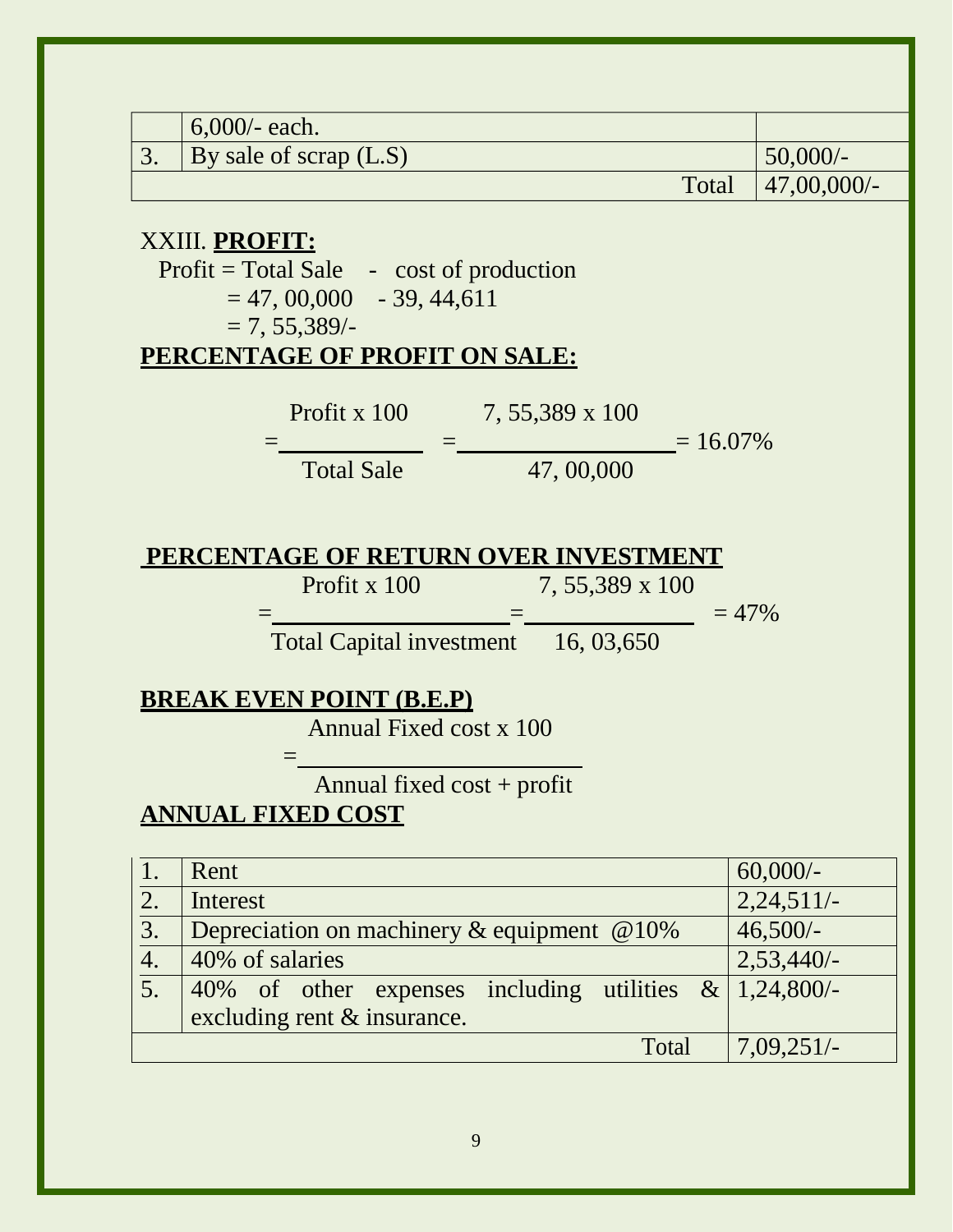| $6,000/$ - each.<br>3.<br>By sale of scrap (L.S)<br>$50,000/-$<br>Total<br>$47,00,000/$ -<br>XXIII. PROFIT:<br>$Profit = Total Sale - cost of production$<br>$= 47,00,000 - 39,44,611$<br>$= 7, 55,389/$<br>PERCENTAGE OF PROFIT ON SALE:<br>Profit x 100 $\qquad 7, 55,389 \times 100$<br>$= 16.07\%$<br>47,00,000<br><b>Total Sale</b><br>PERCENTAGE OF RETURN OVER INVESTMENT<br>Profit x $100$<br>7, 55,389 x 100<br>$= 47\%$<br>Total Capital investment 16, 03,650<br><b>BREAK EVEN POINT (B.E.P)</b><br>Annual Fixed cost x 100<br>Annual fixed $cost + profit$<br><b>ANNUAL FIXED COST</b><br>$60,000/-$<br>Rent<br>1. |                |  |              |  |  |  |
|--------------------------------------------------------------------------------------------------------------------------------------------------------------------------------------------------------------------------------------------------------------------------------------------------------------------------------------------------------------------------------------------------------------------------------------------------------------------------------------------------------------------------------------------------------------------------------------------------------------------------------|----------------|--|--------------|--|--|--|
|                                                                                                                                                                                                                                                                                                                                                                                                                                                                                                                                                                                                                                |                |  |              |  |  |  |
|                                                                                                                                                                                                                                                                                                                                                                                                                                                                                                                                                                                                                                |                |  |              |  |  |  |
|                                                                                                                                                                                                                                                                                                                                                                                                                                                                                                                                                                                                                                |                |  |              |  |  |  |
|                                                                                                                                                                                                                                                                                                                                                                                                                                                                                                                                                                                                                                |                |  |              |  |  |  |
|                                                                                                                                                                                                                                                                                                                                                                                                                                                                                                                                                                                                                                |                |  |              |  |  |  |
|                                                                                                                                                                                                                                                                                                                                                                                                                                                                                                                                                                                                                                |                |  |              |  |  |  |
|                                                                                                                                                                                                                                                                                                                                                                                                                                                                                                                                                                                                                                |                |  |              |  |  |  |
|                                                                                                                                                                                                                                                                                                                                                                                                                                                                                                                                                                                                                                |                |  |              |  |  |  |
|                                                                                                                                                                                                                                                                                                                                                                                                                                                                                                                                                                                                                                | 2.<br>Interest |  | $2,24,511/-$ |  |  |  |
| 3.<br>Depreciation on machinery $\&$ equipment $\&$ 10%<br>$46,500/-$                                                                                                                                                                                                                                                                                                                                                                                                                                                                                                                                                          |                |  |              |  |  |  |
| 4.<br>40% of salaries<br>$2,53,440/-$                                                                                                                                                                                                                                                                                                                                                                                                                                                                                                                                                                                          |                |  |              |  |  |  |
| 5.<br>of other expenses including<br>utilities $\&$<br>$1,24,800/-$<br>40%<br>excluding rent & insurance.                                                                                                                                                                                                                                                                                                                                                                                                                                                                                                                      |                |  |              |  |  |  |
| $7,09,251/-$<br>Total                                                                                                                                                                                                                                                                                                                                                                                                                                                                                                                                                                                                          |                |  |              |  |  |  |